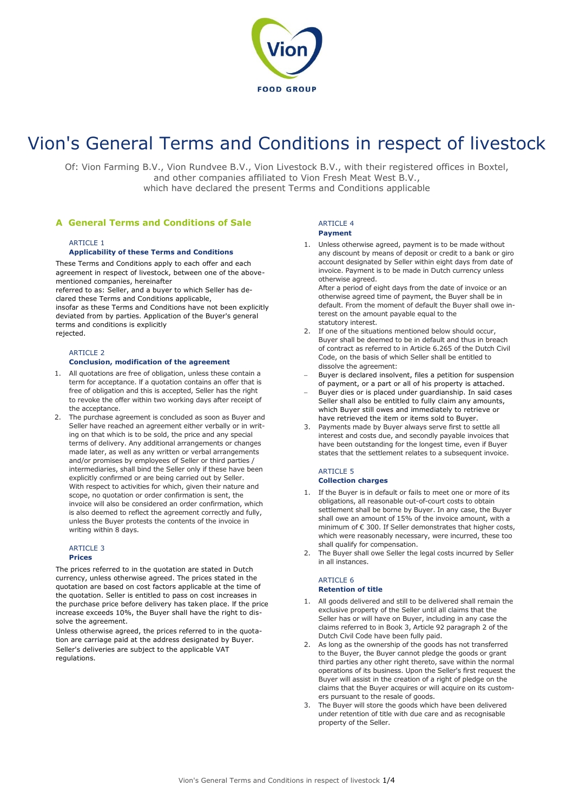

# Vion's General Terms and Conditions in respect of livestock

Of: Vion Farming B.V., Vion Rundvee B.V., Vion Livestock B.V., with their registered offices in Boxtel, and other companies affiliated to Vion Fresh Meat West B.V., which have declared the present Terms and Conditions applicable

## **A General Terms and Conditions of Sale**

## **ARTICLE 1**

#### **Applicability of these Terms and Conditions**

These Terms and Conditions apply to each offer and each agreement in respect of livestock, between one of the abovementioned companies, hereinafter

referred to as: Seller, and a buyer to which Seller has declared these Terms and Conditions applicable,

insofar as these Terms and Conditions have not been explicitly deviated from by parties. Application of the Buyer's general terms and conditions is explicitly rejected.

## ARTICLE 2

#### **Conclusion, modification of the agreement**

- 1. All quotations are free of obligation, unless these contain a term for acceptance. lf a quotation contains an offer that is free of obligation and this is accepted, Seller has the right to revoke the offer within two working days after receipt of the acceptance.
- 2. The purchase agreement is concluded as soon as Buyer and Seller have reached an agreement either verbally or in writing on that which is to be sold, the price and any special terms of delivery. Any additional arrangements or changes made later, as well as any written or verbal arrangements and/or promises by employees of Seller or third parties / intermediaries, shall bind the Seller only if these have been explicitly confirmed or are being carried out by Seller. With respect to activities for which, given their nature and scope, no quotation or order confirmation is sent, the invoice will also be considered an order confirmation, which is also deemed to reflect the agreement correctly and fully, unless the Buyer protests the contents of the invoice in writing within 8 days.

#### **ARTICLE 3**

#### **Prices**

The prices referred to in the quotation are stated in Dutch currency, unless otherwise agreed. The prices stated in the quotation are based on cost factors applicable at the time of the quotation. Seller is entitled to pass on cost increases in the purchase price before delivery has taken place. lf the price increase exceeds 10%, the Buyer shall have the right to dissolve the agreement.

Unless otherwise agreed, the prices referred to in the quotation are carriage paid at the address designated by Buyer. Seller's deliveries are subject to the applicable VAT regulations.

# $ARTICI F 4$

#### **Payment**

1. Unless otherwise agreed, payment is to be made without any discount by means of deposit or credit to a bank or giro account designated by Seller within eight days from date of invoice. Payment is to be made in Dutch currency unless otherwise agreed.

After a period of eight days from the date of invoice or an otherwise agreed time of payment, the Buyer shall be in default. From the moment of default the Buyer shall owe interest on the amount payable equal to the statutory interest.

- 2. If one of the situations mentioned below should occur, Buyer shall be deemed to be in default and thus in breach of contract as referred to in Article 6.265 of the Dutch Civil Code, on the basis of which Seller shall be entitled to dissolve the agreement:
- Buyer is declared insolvent, files a petition for suspension of payment, or a part or all of his property is attached.
- Buyer dies or is placed under guardianship. In said cases Seller shall also be entitled to fully claim any amounts, which Buyer still owes and immediately to retrieve or have retrieved the item or items sold to Buyer.
- Payments made by Buyer always serve first to settle all interest and costs due, and secondly payable invoices that have been outstanding for the longest time, even if Buyer states that the settlement relates to a subsequent invoice.

### ARTICLE 5 **Collection charges**

- 1. If the Buyer is in default or fails to meet one or more of its obligations, all reasonable out-of-court costs to obtain settlement shall be borne by Buyer. In any case, the Buyer shall owe an amount of 15% of the invoice amount, with a minimum of € 300. If Seller demonstrates that higher costs, which were reasonably necessary, were incurred, these too shall qualify for compensation.
- 2. The Buyer shall owe Seller the legal costs incurred by Seller in all instances.

#### ARTICLE 6 **Retention of title**

- 1. All goods delivered and still to be delivered shall remain the exclusive property of the Seller until all claims that the Seller has or will have on Buyer, including in any case the claims referred to in Book 3, Article 92 paragraph 2 of the Dutch Civil Code have been fully paid.
- 2. As long as the ownership of the goods has not transferred to the Buyer, the Buyer cannot pledge the goods or grant third parties any other right thereto, save within the normal operations of its business. Upon the Seller's first request the Buyer will assist in the creation of a right of pledge on the claims that the Buyer acquires or will acquire on its customers pursuant to the resale of goods.
- 3. The Buyer will store the goods which have been delivered under retention of title with due care and as recognisable property of the Seller.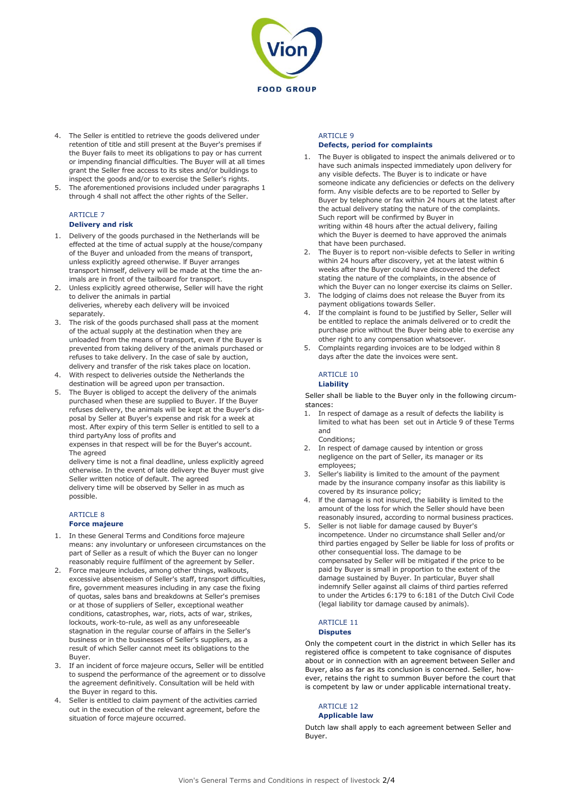

- 4. The Seller is entitled to retrieve the goods delivered under retention of title and still present at the Buyer's premises if the Buyer fails to meet its obligations to pay or has current or impending financial difficulties. The Buyer will at all times grant the Seller free access to its sites and/or buildings to inspect the goods and/or to exercise the Seller's rights.
- 5. The aforementioned provisions included under paragraphs 1 through 4 shall not affect the other rights of the Seller.

#### ARTICLE 7 **Delivery and risk**

- 1. Delivery of the goods purchased in the Netherlands will be effected at the time of actual supply at the house/company of the Buyer and unloaded from the means of transport, unless explicitly agreed otherwise. lf Buyer arranges transport himself, delivery will be made at the time the animals are in front of the tailboard for transport.
- 2. Unless explicitly agreed otherwise, Seller will have the right to deliver the animals in partial deliveries, whereby each delivery will be invoiced
- separately. 3. The risk of the goods purchased shall pass at the moment of the actual supply at the destination when they are unloaded from the means of transport, even if the Buyer is prevented from taking delivery of the animals purchased or refuses to take delivery. In the case of sale by auction, delivery and transfer of the risk takes place on location.
- 4. With respect to deliveries outside the Netherlands the destination will be agreed upon per transaction.
- 5. The Buyer is obliged to accept the delivery of the animals purchased when these are supplied to Buyer. If the Buyer refuses delivery, the animals will be kept at the Buyer's disposal by Seller at Buyer's expense and risk for a week at most. After expiry of this term Seller is entitled to sell to a third partyAny loss of profits and

expenses in that respect will be for the Buyer's account. The agreed

delivery time is not a final deadline, unless explicitly agreed otherwise. In the event of late delivery the Buyer must give Seller written notice of default. The agreed delivery time will be observed by Seller in as much as possible.

## ARTICLE 8

## **Force majeure**

- 1. In these General Terms and Conditions force majeure means: any involuntary or unforeseen circumstances on the part of Seller as a result of which the Buyer can no longer reasonably require fulfilment of the agreement by Seller.
- 2. Force majeure includes, among other things, walkouts, excessive absenteeism of Seller's staff, transport difficulties, fire, government measures including in any case the fixing of quotas, sales bans and breakdowns at Seller's premises or at those of suppliers of Seller, exceptional weather conditions, catastrophes, war, riots, acts of war, strikes, lockouts, work-to-rule, as well as any unforeseeable stagnation in the regular course of affairs in the Seller's business or in the businesses of Seller's suppliers, as a result of which Seller cannot meet its obligations to the Buyer.
- 3. If an incident of force majeure occurs, Seller will be entitled to suspend the performance of the agreement or to dissolve the agreement definitively. Consultation will be held with the Buyer in regard to this.
- 4. Seller is entitled to claim payment of the activities carried out in the execution of the relevant agreement, before the situation of force majeure occurred.

#### **ARTICLE 9 Defects, period for complaints**

- 1. The Buyer is obligated to inspect the animals delivered or to have such animals inspected immediately upon delivery for any visible defects. The Buyer is to indicate or have someone indicate any deficiencies or defects on the delivery form. Any visible defects are to be reported to Seller by Buyer by telephone or fax within 24 hours at the latest after the actual delivery stating the nature of the complaints. Such report will be confirmed by Buyer in writing within 48 hours after the actual delivery, failing which the Buyer is deemed to have approved the animals that have been purchased.
- 2. The Buyer is to report non-visible defects to Seller in writing within 24 hours after discovery, yet at the latest within 6 weeks after the Buyer could have discovered the defect stating the nature of the complaints, in the absence of which the Buyer can no longer exercise its claims on Seller.
- 3. The lodging of claims does not release the Buyer from its payment obligations towards Seller.
- 4. If the complaint is found to be justified by Seller, Seller will be entitled to replace the animals delivered or to credit the purchase price without the Buyer being able to exercise any other right to any compensation whatsoever.
- 5. Complaints regarding invoices are to be lodged within 8 days after the date the invoices were sent.

# ARTICLE 10

## **Liability**

Seller shall be liable to the Buyer only in the following circumstances:

- 1. In respect of damage as a result of defects the liability is limited to what has been set out in Article 9 of these Terms and Conditions;
- 2. In respect of damage caused by intention or gross negligence on the part of Seller, its manager or its employees;
- 3. Seller's liability is limited to the amount of the payment made by the insurance company insofar as this liability is covered by its insurance policy;
- 4. lf the damage is not insured, the liability is limited to the amount of the loss for which the Seller should have been reasonably insured, according to normal business practices.
- 5. Seller is not liable for damage caused by Buyer's incompetence. Under no circumstance shall Seller and/or third parties engaged by Seller be liable for loss of profits or other consequential loss. The damage to be compensated by Seller will be mitigated if the price to be paid by Buyer is small in proportion to the extent of the damage sustained by Buyer. In particular, Buyer shall indemnify Seller against all claims of third parties referred to under the Articles 6:179 to 6:181 of the Dutch Civil Code (legal liability tor damage caused by animals).

## ARTICLE 11

#### **Disputes**

Only the competent court in the district in which Seller has its registered office is competent to take cognisance of disputes about or in connection with an agreement between Seller and Buyer, also as far as its conclusion is concerned. Seller, however, retains the right to summon Buyer before the court that is competent by law or under applicable international treaty.

### ARTICLE 12

## **Applicable law**

Dutch law shall apply to each agreement between Seller and Buyer.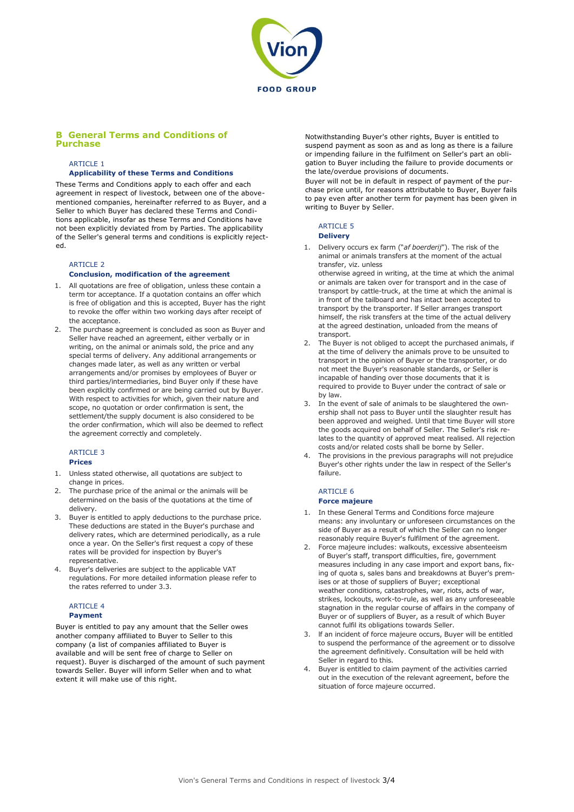

## **B General Terms and Conditions of Purchase**

#### **ARTICLE 1**

#### **Applicability of these Terms and Conditions**

These Terms and Conditions apply to each offer and each agreement in respect of livestock, between one of the abovementioned companies, hereinafter referred to as Buyer, and a Seller to which Buyer has declared these Terms and Conditions applicable, insofar as these Terms and Conditions have not been explicitly deviated from by Parties. The applicability of the Seller's general terms and conditions is explicitly rejected.

#### ARTICLE 2

#### **Conclusion, modification of the agreement**

- 1. All quotations are free of obligation, unless these contain a term tor acceptance. If a quotation contains an offer which is free of obligation and this is accepted, Buyer has the right to revoke the offer within two working days after receipt of the acceptance.
- 2. The purchase agreement is concluded as soon as Buyer and Seller have reached an agreement, either verbally or in writing, on the animal or animals sold, the price and any special terms of delivery. Any additional arrangements or changes made later, as well as any written or verbal arrangements and/or promises by employees of Buyer or third parties/intermediaries, bind Buyer only if these have been explicitly confirmed or are being carried out by Buyer. With respect to activities for which, given their nature and scope, no quotation or order confirmation is sent, the settlement/the supply document is also considered to be the order confirmation, which will also be deemed to reflect the agreement correctly and completely.

#### **ARTICLE 3 Prices**

- 1. Unless stated otherwise, all quotations are subject to change in prices.
- 2. The purchase price of the animal or the animals will be determined on the basis of the quotations at the time of delivery.
- 3. Buyer is entitled to apply deductions to the purchase price. These deductions are stated in the Buyer's purchase and delivery rates, which are determined periodically, as a rule once a year. On the Seller's first request a copy of these rates will be provided for inspection by Buyer's representative.
- 4. Buyer's deliveries are subject to the applicable VAT regulations. For more detailed information please refer to the rates referred to under 3.3.

#### ARTICLE 4 **Payment**

Buyer is entitled to pay any amount that the Seller owes another company affiliated to Buyer to Seller to this company (a list of companies affiliated to Buyer is available and will be sent free of charge to Seller on request). Buyer is discharged of the amount of such payment towards Seller. Buyer will inform Seller when and to what extent it will make use of this right.

Notwithstanding Buyer's other rights, Buyer is entitled to suspend payment as soon as and as long as there is a failure or impending failure in the fulfilment on Seller's part an obligation to Buyer including the failure to provide documents or the late/overdue provisions of documents.

Buyer will not be in default in respect of payment of the purchase price until, for reasons attributable to Buyer, Buyer fails to pay even after another term for payment has been given in writing to Buyer by Seller.

## ARTICLE 5

## **Delivery**

- 1. Delivery occurs ex farm ("*af boerderij*"). The risk of the animal or animals transfers at the moment of the actual transfer, viz. unless
- otherwise agreed in writing, at the time at which the animal or animals are taken over for transport and in the case of transport by cattle-truck, at the time at which the animal is in front of the tailboard and has intact been accepted to transport by the transporter. lf Seller arranges transport himself, the risk transfers at the time of the actual delivery at the agreed destination, unloaded from the means of transport.
- 2. The Buyer is not obliged to accept the purchased animals, if at the time of delivery the animals prove to be unsuited to transport in the opinion of Buyer or the transporter, or do not meet the Buyer's reasonable standards, or Seller is incapable of handing over those documents that it is required to provide to Buyer under the contract of sale or by law.
- 3. In the event of sale of animals to be slaughtered the ownership shall not pass to Buyer until the slaughter result has been approved and weighed. Until that time Buyer will store the goods acquired on behalf of Seller. The Seller's risk relates to the quantity of approved meat realised. All rejection costs and/or related costs shall be borne by Seller.
- 4. The provisions in the previous paragraphs will not prejudice Buyer's other rights under the law in respect of the Seller's failure.

## ARTICLE 6

## **Force majeure**

- 1. In these General Terms and Conditions force majeure means: any involuntary or unforeseen circumstances on the side of Buyer as a result of which the Seller can no longer reasonably require Buyer's fulfilment of the agreement.
- 2. Force majeure includes: walkouts, excessive absenteeism of Buyer's staff, transport difficulties, fire, government measures including in any case import and export bans, fixing of quota s, sales bans and breakdowns at Buyer's premises or at those of suppliers of Buyer; exceptional weather conditions, catastrophes, war, riots, acts of war, strikes, lockouts, work-to-rule, as well as any unforeseeable stagnation in the regular course of affairs in the company of Buyer or of suppliers of Buyer, as a result of which Buyer cannot fulfil its obligations towards Seller.
- If an incident of force majeure occurs, Buyer will be entitled to suspend the performance of the agreement or to dissolve the agreement definitively. Consultation will be held with Seller in regard to this.
- Buyer is entitled to claim payment of the activities carried out in the execution of the relevant agreement, before the situation of force majeure occurred.